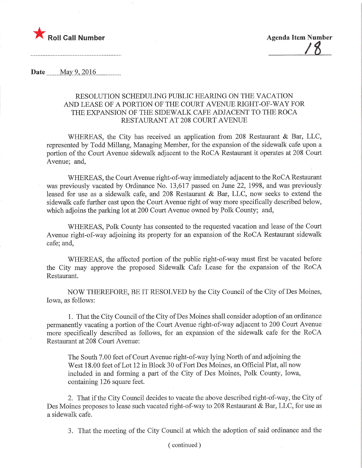

**Date** May 9, 2016

## RESOLUTION SCHEDULING PUBLIC HEARING ON THE VACATION AND LEASE OF A PORTION OF THE COURT AVENUE RIGHT-OF-WAY FOR THE EXPANSION OF THE SIDEWALK CAFE ADJACENT TO THE ROCA RESTAURANT AT 208 COURT AVENUE

WHEREAS, the City has received an application from 208 Restaurant & Bar, LLC, represented by Todd Millang, Managing Member, for the expansion of the sidewalk cafe upon a portion of the Court Avenue sidewalk adjacent to the RoCA Restaurant it operates at 208 Court Avenue; and,

WHEREAS, the Court Avenue right-of-way immediately adjacent to the RoCA Restaurant was previously vacated by Ordinance No. 13,617 passed on June 22, 1998, and was previously leased for use as a sidewalk cafe, and 208 Restaurant & Bar, LLC, now seeks to extend the sidewalk cafe further east upon the Court Avenue right of way more specifically described below, which adjoins the parking lot at 200 Court Avenue owned by Polk County; and,

WHEREAS, Polk County has consented to the requested vacation and lease of the Court Avenue right-of-way adjoining its property for an expansion of the RoCA Restaurant sidewalk cafe; and,

WHEREAS, the affected portion of the public right-of-way must first be vacated before the City may approve the proposed Sidewalk Cafe Lease for the expansion of the RoCA Restaurant.

NOW THEREFORE, BE IT RESOLVED by the City Council of the City of Des Moines, Iowa, as follows:

1. That the City Council of the City of Des Moines shall consider adoption of an ordinance permanently vacating a portion of the Court Avenue right-of-way adjacent to 200 Court Avenue more specifically described as follows, for an expansion of the sidewalk cafe for the RoCA Restaurant at 208 Court Avenue:

The South 7.00 feet of Court Avenue right-of-way lying North of and adjoining the West 18.00 feet of Lot 12 in Block 30 of Fort Des Moines, an Official Plat, all now included in and forming a part of the City of Des Moines, Polk County, Iowa, containing 126 square feet.

2. That if the City Council decides to vacate the above described right-of-way, the City of Des Moines proposes to lease such vacated right-of-way to 208 Restaurant & Bar, LLC, for use as a sidewalk cafe.

3. That the meeting of the City Council at which the adoption of said ordinance and the